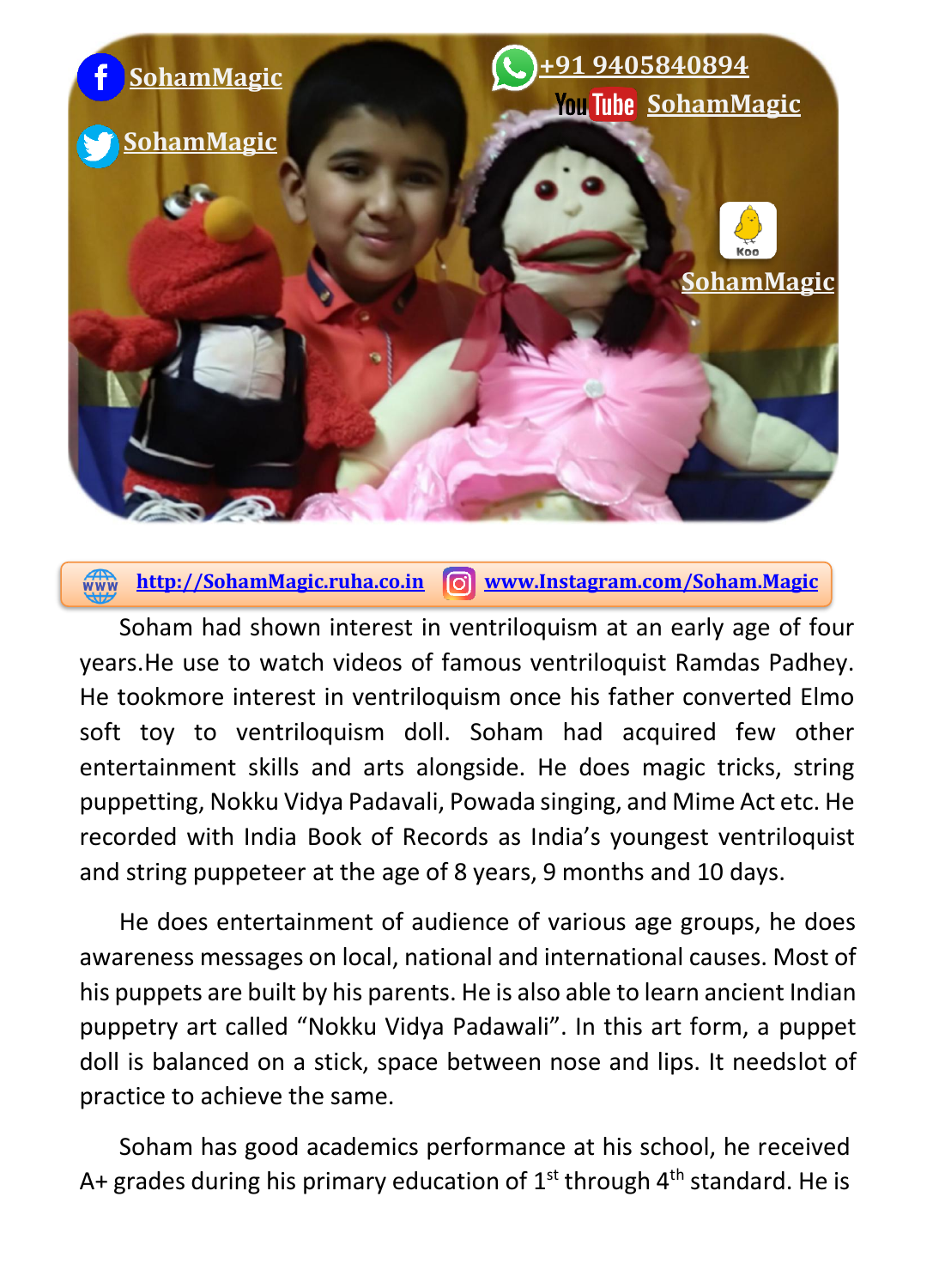

**[http://SohamMagic.ruha.co.in](http://sohammagic.ruha.co.in/) [www.Instagram.com/Soham.Magic](http://www.instagram.com/Soham.Magic)**

Soham had shown interest in ventriloquism at an early age of four years.He use to watch videos of famous ventriloquist Ramdas Padhey. He tookmore interest in ventriloquism once his father converted Elmo soft toy to ventriloquism doll. Soham had acquired few other entertainment skills and arts alongside. He does magic tricks, string puppetting, Nokku Vidya Padavali, Powada singing, and Mime Act etc. He recorded with India Book of Records as India's youngest ventriloquist and string puppeteer at the age of 8 years, 9 months and 10 days.

He does entertainment of audience of various age groups, he does awareness messages on local, national and international causes. Most of his puppets are built by his parents. He is also able to learn ancient Indian puppetry art called "Nokku Vidya Padawali". In this art form, a puppet doll is balanced on a stick, space between nose and lips. It needslot of practice to achieve the same.

Soham has good academics performance at his school, he received A+ grades during his primary education of  $1<sup>st</sup>$  through  $4<sup>th</sup>$  standard. He is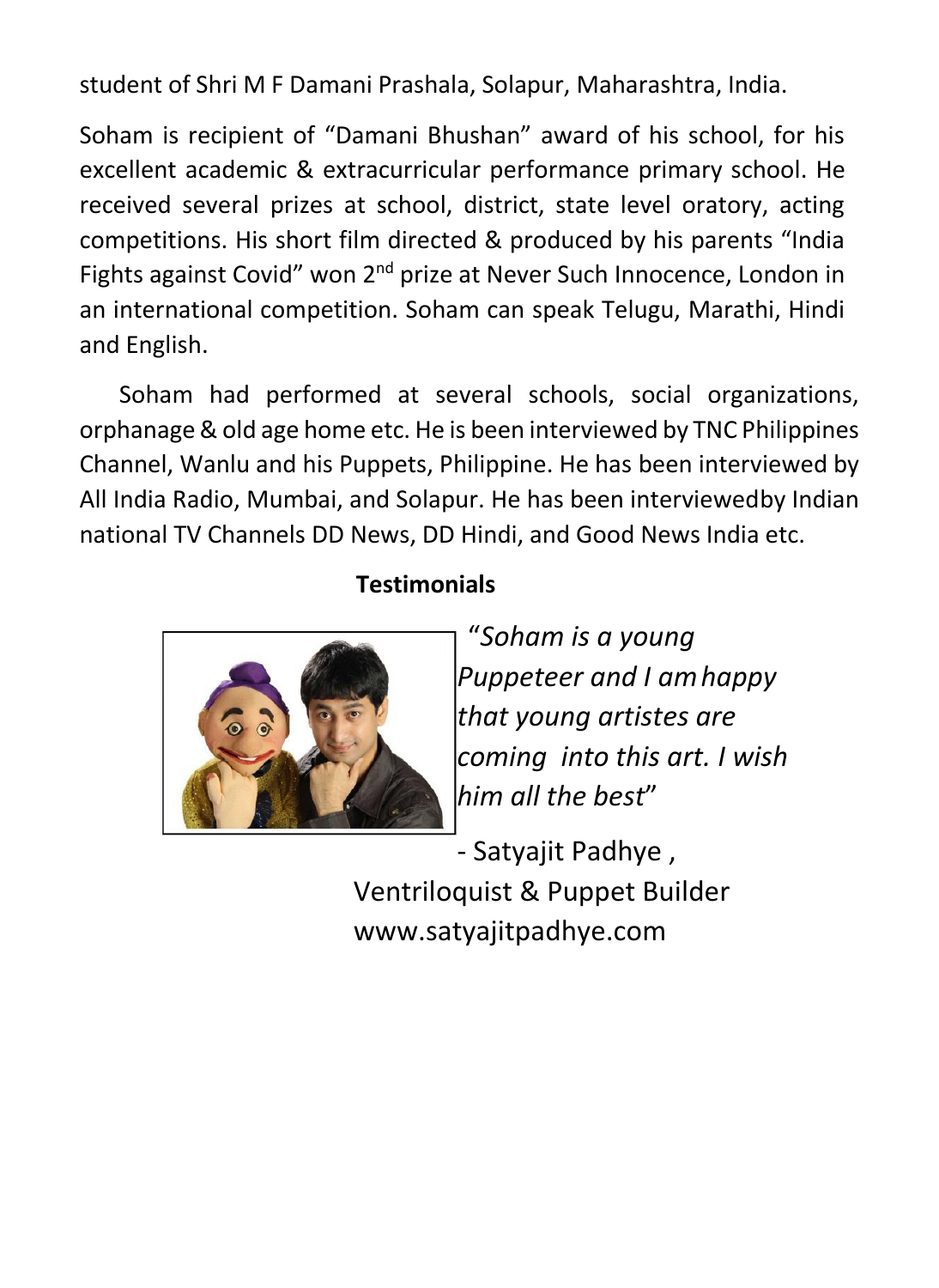student of Shri M F Damani Prashala, Solapur, Maharashtra, India.

Soham is recipient of "Damani Bhushan" award of his school, for his excellent academic & extracurricular performance primary school. He received several prizes at school, district, state level oratory, acting competitions. His short film directed & produced by his parents "India Fights against Covid" won 2<sup>nd</sup> prize at Never Such Innocence, London in an international competition. Soham can speak Telugu, Marathi, Hindi and English.

Soham had performed at several schools, social organizations, orphanage & old age home etc. He is been interviewed by TNC Philippines Channel, Wanlu and his Puppets, Philippine. He has been interviewed by All India Radio, Mumbai, and Solapur. He has been interviewedby Indian national TV Channels DD News, DD Hindi, and Good News India etc.

## **Testimonials**



"*Soham is a young Puppeteer and I am happy that young artistes are coming into this art. I wish him all the best*"

- Satyajit Padhye , Ventriloquist & Puppet Builder [www.satyajitpadhye.com](http://www.satyajitpadhye.com/)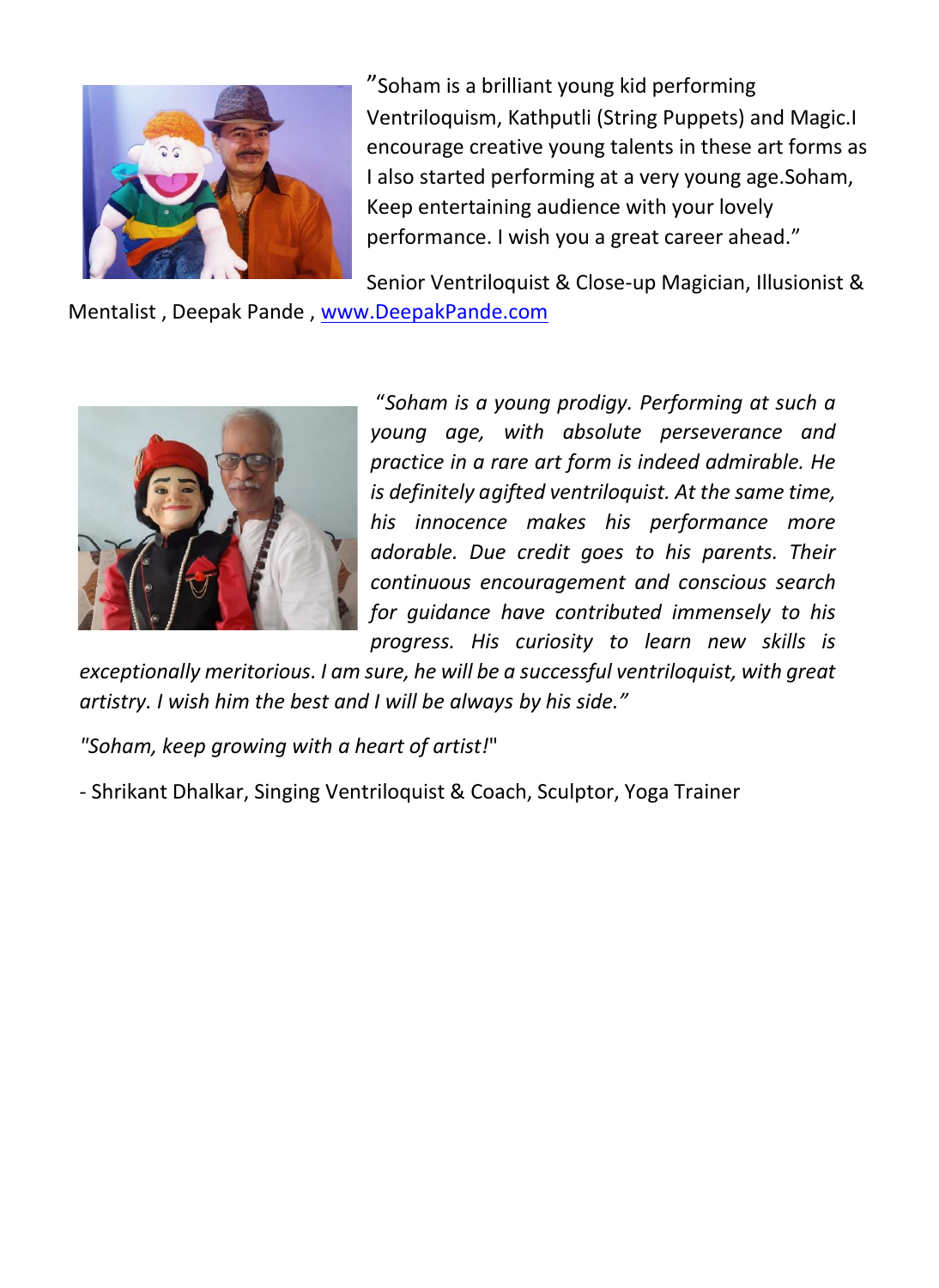

"Soham is a brilliant young kid performing Ventriloquism, Kathputli (String Puppets) and Magic.I encourage creative young talents in these art forms as I also started performing at a very young age.Soham, Keep entertaining audience with your lovely performance. I wish you a great career ahead."

Senior Ventriloquist & Close-up Magician, Illusionist &

Mentalist , Deepak Pande , [www.DeepakPande.com](http://www.deepakpande.com/)



"*Soham is a young prodigy. Performing at such a young age, with absolute perseverance and practice in a rare art form is indeed admirable. He is definitely a gifted ventriloquist. At the same time, his innocence makes his performance more adorable. Due credit goes to his parents. Their continuous encouragement and conscious search for guidance have contributed immensely to his progress. His curiosity to learn new skills is* 

*exceptionally meritorious. I am sure, he will be a successful ventriloquist, with great artistry. I wish him the best and I will be always by his side."* 

*"Soham, keep growing with a heart of artist!*"

- Shrikant Dhalkar, Singing Ventriloquist & Coach, Sculptor, Yoga Trainer